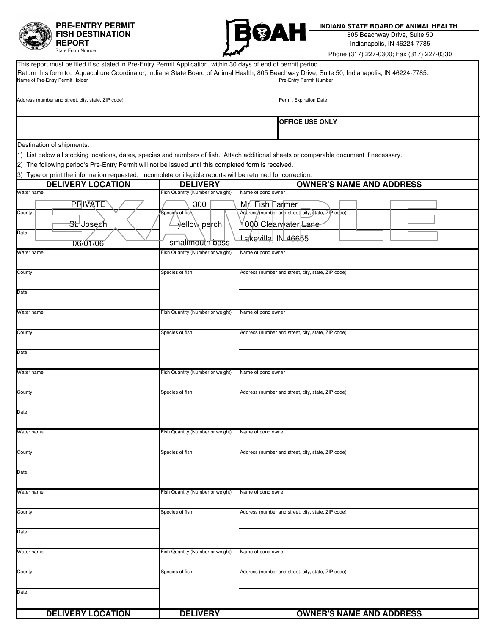

## **PRE-ENTRY PERMIT FISH DESTINATION REPORT**



 **INDIANA STATE BOARD OF ANIMAL HEALTH**

Indianapolis, IN 46224-7785 805 Beachway Drive, Suite 50

| 1816<br><b>State Form Number</b>                                                                                                                                                                                                                |                                  | Phone (317) 227-0300; Fax (317) 227-0330                                                                                                                                  |  |  |
|-------------------------------------------------------------------------------------------------------------------------------------------------------------------------------------------------------------------------------------------------|----------------------------------|---------------------------------------------------------------------------------------------------------------------------------------------------------------------------|--|--|
| This report must be filed if so stated in Pre-Entry Permit Application, within 30 days of end of permit period.                                                                                                                                 |                                  |                                                                                                                                                                           |  |  |
| Name of Pre-Entry Permit Holder                                                                                                                                                                                                                 |                                  | Return this form to: Aquaculture Coordinator, Indiana State Board of Animal Health, 805 Beachway Drive, Suite 50, Indianapolis, IN 46224-7785.<br>Pre-Entry Permit Number |  |  |
|                                                                                                                                                                                                                                                 |                                  |                                                                                                                                                                           |  |  |
| Address (number and street, city, state, ZIP code)                                                                                                                                                                                              |                                  | Permit Expiration Date                                                                                                                                                    |  |  |
|                                                                                                                                                                                                                                                 |                                  |                                                                                                                                                                           |  |  |
|                                                                                                                                                                                                                                                 |                                  | <b>OFFICE USE ONLY</b>                                                                                                                                                    |  |  |
|                                                                                                                                                                                                                                                 |                                  |                                                                                                                                                                           |  |  |
| Destination of shipments:                                                                                                                                                                                                                       |                                  |                                                                                                                                                                           |  |  |
| 1) List below all stocking locations, dates, species and numbers of fish. Attach additional sheets or comparable document if necessary.<br>2) The following period's Pre-Entry Permit will not be issued until this completed form is received. |                                  |                                                                                                                                                                           |  |  |
| 3) Type or print the information requested. Incomplete or illegible reports will be returned for correction.                                                                                                                                    |                                  |                                                                                                                                                                           |  |  |
| <b>DELIVERY LOCATION</b>                                                                                                                                                                                                                        | <b>DELIVERY</b>                  | <b>OWNER'S NAME AND ADDRESS</b>                                                                                                                                           |  |  |
| Water name                                                                                                                                                                                                                                      | Fish Quantity (Number or weight) | Name of pond owner                                                                                                                                                        |  |  |
| <b>PRIVATE</b>                                                                                                                                                                                                                                  | 300                              | My. Fish Farmer<br>Address (number and street city, state, ZIP code)                                                                                                      |  |  |
| County                                                                                                                                                                                                                                          | Species of fish                  | <b>Y000 Clearwater Lane</b>                                                                                                                                               |  |  |
| <del>St.'</del> Joseph<br>Date                                                                                                                                                                                                                  | ⊰elloẁ pe <mark>rch⊸</mark>      |                                                                                                                                                                           |  |  |
| 06/01/06                                                                                                                                                                                                                                        | smallmouth bass                  | Lakeville, IN 46655                                                                                                                                                       |  |  |
| Water name                                                                                                                                                                                                                                      | Fish Quantity (Number or weight) | Name of pond owner                                                                                                                                                        |  |  |
| County                                                                                                                                                                                                                                          | Species of fish                  | Address (number and street, city, state, ZIP code)                                                                                                                        |  |  |
|                                                                                                                                                                                                                                                 |                                  |                                                                                                                                                                           |  |  |
| Date                                                                                                                                                                                                                                            |                                  |                                                                                                                                                                           |  |  |
|                                                                                                                                                                                                                                                 |                                  |                                                                                                                                                                           |  |  |
| Water name                                                                                                                                                                                                                                      | Fish Quantity (Number or weight) | Name of pond owner                                                                                                                                                        |  |  |
| County                                                                                                                                                                                                                                          | Species of fish                  | Address (number and street, city, state, ZIP code)                                                                                                                        |  |  |
|                                                                                                                                                                                                                                                 |                                  |                                                                                                                                                                           |  |  |
| Date                                                                                                                                                                                                                                            |                                  |                                                                                                                                                                           |  |  |
| Water name                                                                                                                                                                                                                                      | Fish Quantity (Number or weight) | Name of pond owner                                                                                                                                                        |  |  |
|                                                                                                                                                                                                                                                 |                                  |                                                                                                                                                                           |  |  |
| County                                                                                                                                                                                                                                          | Species of fish                  | Address (number and street, city, state, ZIP code)                                                                                                                        |  |  |
|                                                                                                                                                                                                                                                 |                                  |                                                                                                                                                                           |  |  |
| Date                                                                                                                                                                                                                                            |                                  |                                                                                                                                                                           |  |  |
| Water name                                                                                                                                                                                                                                      | Fish Quantity (Number or weight) | Name of pond owner                                                                                                                                                        |  |  |
|                                                                                                                                                                                                                                                 |                                  |                                                                                                                                                                           |  |  |
| County                                                                                                                                                                                                                                          | Species of fish                  | Address (number and street, city, state, ZIP code)                                                                                                                        |  |  |
| Date                                                                                                                                                                                                                                            |                                  |                                                                                                                                                                           |  |  |
|                                                                                                                                                                                                                                                 |                                  |                                                                                                                                                                           |  |  |
| Water name                                                                                                                                                                                                                                      | Fish Quantity (Number or weight) | Name of pond owner                                                                                                                                                        |  |  |
|                                                                                                                                                                                                                                                 |                                  |                                                                                                                                                                           |  |  |
| County                                                                                                                                                                                                                                          | Species of fish                  | Address (number and street, city, state, ZIP code)                                                                                                                        |  |  |
| Date                                                                                                                                                                                                                                            |                                  |                                                                                                                                                                           |  |  |
|                                                                                                                                                                                                                                                 |                                  |                                                                                                                                                                           |  |  |
| Water name                                                                                                                                                                                                                                      | Fish Quantity (Number or weight) | Name of pond owner                                                                                                                                                        |  |  |
| County                                                                                                                                                                                                                                          | Species of fish                  | Address (number and street, city, state, ZIP code)                                                                                                                        |  |  |
|                                                                                                                                                                                                                                                 |                                  |                                                                                                                                                                           |  |  |
| Date                                                                                                                                                                                                                                            |                                  |                                                                                                                                                                           |  |  |

**DELIVERY**

**DELIVERY LOCATION | DELIVERY | OWNER'S NAME AND ADDRESS**